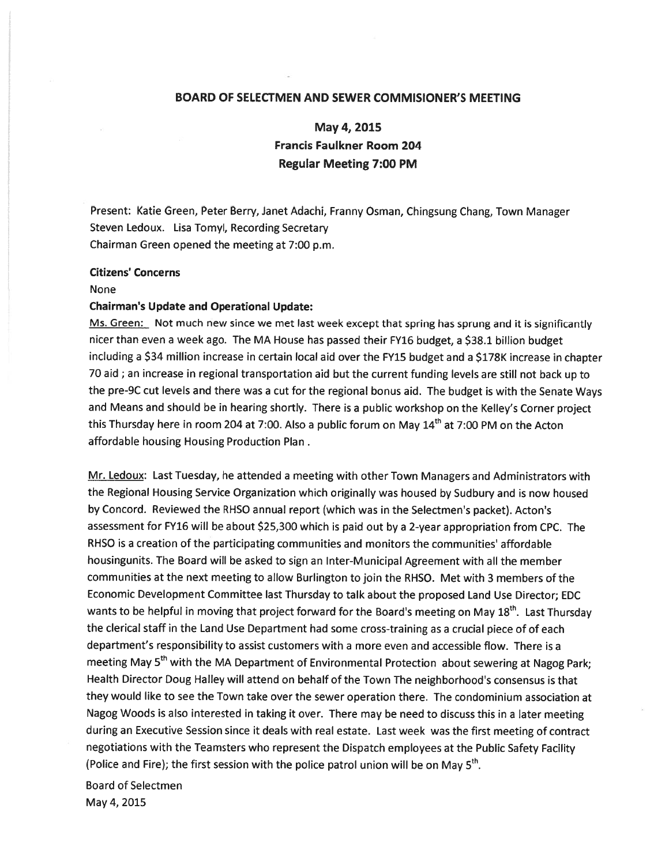# BOARD OF SELECTMEN AND SEWER COMMISIONER'S MEETING

May 4, 2015 Francis Faulkner Room 204 Regular Meeting 7:00 PM

Present: Katie Green, Peter Berry, Janet Adachi, Franny Osman, Chingsung Chang, Town Manager Steven Ledoux. Lisa Tomyl, Recording Secretary Chairman Green opened the meeting at 7:00 p.m.

#### Citizens' Concerns

#### None

#### Chairman's Update and Operational Update:

Ms. Green: Not much new since we met last week except that spring has sprung and it is significantly nicer than even <sup>a</sup> week ago. The MA House has passe<sup>d</sup> their FY16 budget, <sup>a</sup> \$38.1 billion budget including <sup>a</sup> \$34 million increase in certain local aid over the FY15 budget and <sup>a</sup> \$178K increase in chapter <sup>70</sup> aid ; an increase in regional transportation aid but the current funding levels are still not back up to the pre-9C cut levels and there was <sup>a</sup> cut for the regional bonus aid. The budget is with the Senate Ways and Means and should be in hearing shortly. There is <sup>a</sup> public workshop on the Kelley's Corner project this Thursday here in room 204 at 7:00. Also a public forum on May 14<sup>th</sup> at 7:00 PM on the Acton affordable housing Housing Production Plan

Mr. Ledoux: Last Tuesday, he attended <sup>a</sup> meeting with other Town Managers and Administrators with the Regional Housing Service Organization which originally was housed by Sudbury and is now housed by Concord. Reviewed the RHSO annual repor<sup>t</sup> (which was in the Selectmen's packet). Acton's assessment for FY16 will be about \$25,300 which is paid out by <sup>a</sup> 2-year appropriation from CPC. The RHSO is <sup>a</sup> creation of the participating communities and monitors the communities' affordable housingunits. The Board will be asked to sign an Inter-Municipal Agreement with all the member communities at the next meeting to allow Burlington to join the RHSO. Met with 3 members of the Economic Development Committee last Thursday to talk about the proposed Land Use Director; EDC wants to be helpful in moving that project forward for the Board's meeting on May  $18<sup>th</sup>$ . Last Thursday the clerical staff in the Land Use Department had some cross-training as <sup>a</sup> crucial <sup>p</sup>iece of of each department's responsibility to assist customers with <sup>a</sup> more even and accessible flow. There is <sup>a</sup> meeting May 5<sup>th</sup> with the MA Department of Environmental Protection about sewering at Nagog Park; Health Director Doug Halley will attend on behalf of the Town The neighborhood's consensus is that they would like to see the Town take over the sewer operation there. The condominium association at Nagog Woods is also interested in taking it over. There may be need to discuss this in <sup>a</sup> later meeting during an Executive Session since it deals with real estate. Last week was the first meeting of contract negotiations with the Teamsters who represen<sup>t</sup> the Dispatch employees at the Public Safety Facility (Police and Fire); the first session with the police patrol union will be on May  $5<sup>th</sup>$ .

Board of Selectmen May 4, 2015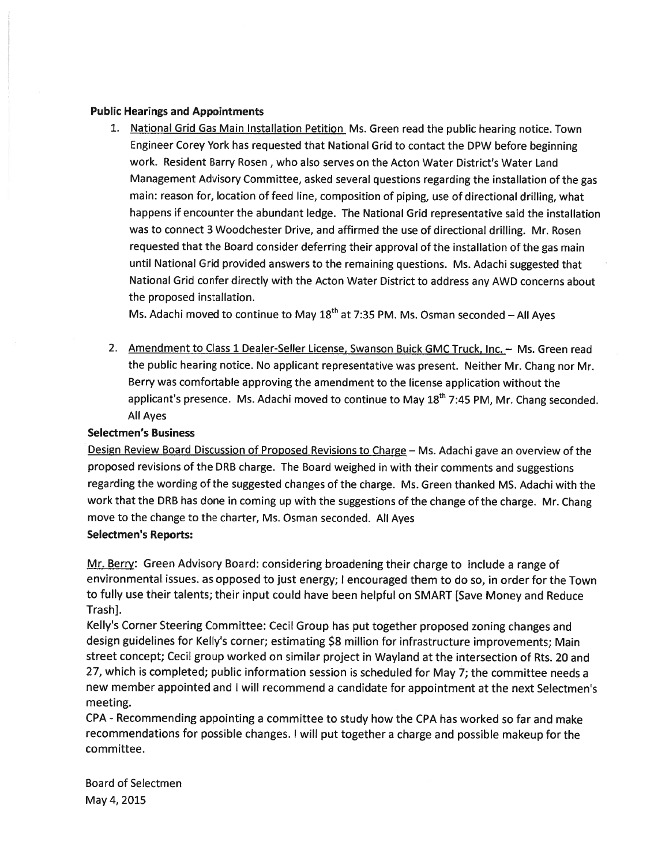### Public Hearings and Appointments

1. National Grid Gas Main Installation Petition Ms. Green read the public hearing notice. Town Engineer Corey York has requested that National Grid to contact the DPW before beginning work. Resident Barry Rosen , who also serves on the Acton Water District's Water Land Management Advisory Committee, asked several questions regarding the installation of the gas main: reason for, location of feed line, composition of <sup>p</sup>iping, use of directional drilling, what happens if encounter the abundant ledge. The National Grid representative said the installation was to connect 3 Woodchester Drive, and affirmed the use of directional drilling. Mr. Rosen requested that the Board consider deferring their approva<sup>l</sup> of the installation of the gas main until National Grid provided answers to the remaining questions. Ms. Adachi suggested that National Grid confer directly with the Acton Water District to address any AWD concerns about the proposed installation.

Ms. Adachi moved to continue to May  $18<sup>th</sup>$  at 7:35 PM. Ms. Osman seconded – All Ayes

2. Amendment to Class 1 Dealer-Seller License, Swanson Buick GMC Truck, Inc. - Ms. Green read the public hearing notice. No applicant representative was present. Neither Mr. Chang nor Mr. Berry was comfortable approving the amendment to the license application without the applicant's presence. Ms. Adachi moved to continue to May  $18<sup>th</sup>$  7:45 PM, Mr. Chang seconded. All Ayes

# Selectmen's Business

Design Review Board Discussion of Proposed Revisions to Charge - Ms. Adachi gave an overview of the propose<sup>d</sup> revisions of the DRB charge. The Board weighed in with their comments and suggestions regarding the wording of the suggested changes of the charge. Ms. Green thanked MS. Adachi with the work that the DRB has done in coming up with the suggestions of the change of the charge. Mr. Chang move to the change to the charter, Ms. Osman seconded. All Ayes

## Selectmen's Reports:

Mr. Berry: Green Advisory Board: considering broadening their charge to include <sup>a</sup> range of environmental issues. as opposed to just energy; <sup>I</sup> encouraged them to do so, in order for the Town to fully use their talents; their input could have been helpful on SMART [Save Money and Reduce Trash].

Kelly's Corner Steering Committee: Cecil Group has pu<sup>t</sup> together propose<sup>d</sup> zoning changes and design guidelines for Kelly's corner; estimating \$8 million for infrastructure improvements; Main street concept; Cecil group worked on similar project in Wayland at the intersection of Rts. 20 and 27, which is completed; public information session is scheduled for May 7; the committee needs <sup>a</sup> new member appointed and <sup>I</sup> will recommend <sup>a</sup> candidate for appointment at the next Selectmen's meeting.

CPA - Recommending appointing a committee to study how the CPA has worked so far and make recommendations for possible changes. <sup>I</sup> will pu<sup>t</sup> together <sup>a</sup> charge and possible makeup for the committee.

Board of Selectmen May 4, 2015